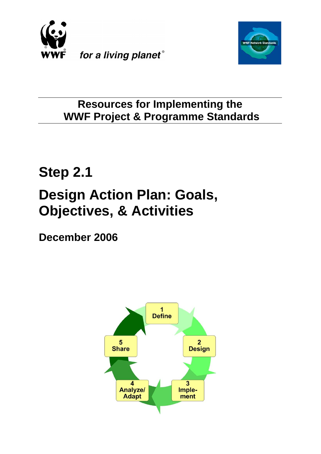



## **Resources for Implementing the WWF Project & Programme Standards**

# **Step 2.1 Design Action Plan: Goals, Objectives, & Activities**

**December 2006**

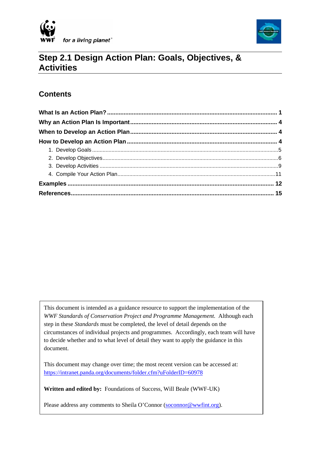



## **Step 2.1 Design Action Plan: Goals, Objectives, & Activities**

## **Contents**

 $\overline{\phantom{a}}$ 

This document is intended as a guidance resource to support the implementation of the *WWF Standards of Conservation Project and Programme Management.* Although each step in these *Standards* must be completed, the level of detail depends on the circumstances of individual projects and programmes. Accordingly, each team will have to decide whether and to what level of detail they want to apply the guidance in this document.

This document may change over time; the most recent version can be accessed at: [https://intranet.panda.org/documents/folder.cfm?uFolderID=60978](https://intranet.panda.org/documents/folder.cfm?uFolderID=60979)

**Written and edited by:** Foundations of Success, Will Beale (WWF-UK)

Please address any comments to Sheila O'Connor [\(soconnor@wwfint.org](mailto:soconnor@wwfint.org)).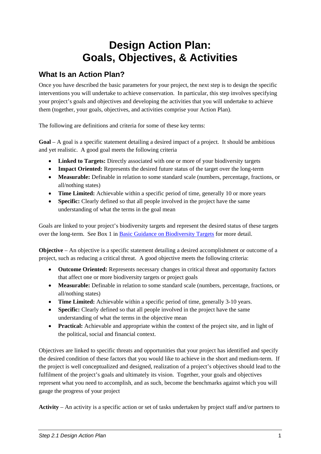## **Design Action Plan: Goals, Objectives, & Activities**

## <span id="page-2-0"></span>**What Is an Action Plan?**

Once you have described the basic parameters for your project, the next step is to design the specific interventions you will undertake to achieve conservation. In particular, this step involves specifying your project's goals and objectives and developing the activities that you will undertake to achieve them (together, your goals, objectives, and activities comprise your Action Plan).

The following are definitions and criteria for some of these key terms:

**Goal** – A goal is a specific statement detailing a desired impact of a project. It should be ambitious and yet realistic. A good goal meets the following criteria

- **Linked to Targets:** Directly associated with one or more of your biodiversity targets
- **Impact Oriented:** Represents the desired future status of the target over the long-term
- **Measurable:** Definable in relation to some standard scale (numbers, percentage, fractions, or all/nothing states)
- **Time Limited:** Achievable within a specific period of time, generally 10 or more years
- **Specific:** Clearly defined so that all people involved in the project have the same understanding of what the terms in the goal mean

Goals are linked to your project's biodiversity targets and represent the desired status of these targets over the long-term. See Box 1 in [Basic Guidance on Biodiversity Targets](https://intranet.panda.org/documents/folder.cfm?uFolderID=60976) for more detail.

**Objective** – An objective is a specific statement detailing a desired accomplishment or outcome of a project, such as reducing a critical threat. A good objective meets the following criteria:

- **Outcome Oriented:** Represents necessary changes in critical threat and opportunity factors that affect one or more biodiversity targets or project goals
- **Measurable:** Definable in relation to some standard scale (numbers, percentage, fractions, or all/nothing states)
- **Time Limited:** Achievable within a specific period of time, generally 3-10 years.
- **Specific:** Clearly defined so that all people involved in the project have the same understanding of what the terms in the objective mean
- **Practical:** Achievable and appropriate within the context of the project site, and in light of the political, social and financial context.

Objectives are linked to specific threats and opportunities that your project has identified and specify the desired condition of these factors that you would like to achieve in the short and medium-term. If the project is well conceptualized and designed, realization of a project's objectives should lead to the fulfilment of the project's goals and ultimately its vision. Together, your goals and objectives represent what you need to accomplish, and as such, become the benchmarks against which you will gauge the progress of your project

**Activity** – An activity is a specific action or set of tasks undertaken by project staff and/or partners to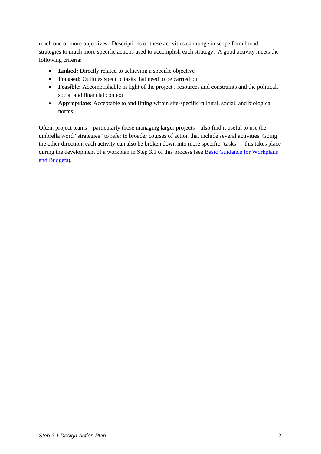reach one or more objectives. Descriptions of these activities can range in scope from broad strategies to much more specific actions used to accomplish each strategy. A good activity meets the following criteria:

- **Linked:** Directly related to achieving a specific objective
- **Focused:** Outlines specific tasks that need to be carried out
- **Feasible:** Accomplishable in light of the project's resources and constraints and the political, social and financial context
- **Appropriate:** Acceptable to and fitting within site-specific cultural, social, and biological norms

Often, project teams – particularly those managing larger projects – also find it useful to use the umbrella word "strategies" to refer to broader courses of action that include several activities. Going the other direction, each activity can also be broken down into more specific "tasks" – this takes place during the development of a workplan in Step 3.1 of this process (see [Basic Guidance for Workplans](https://intranet.panda.org/documents/folder.cfm?uFolderID=60981) [and Budgets\)](https://intranet.panda.org/documents/folder.cfm?uFolderID=60981).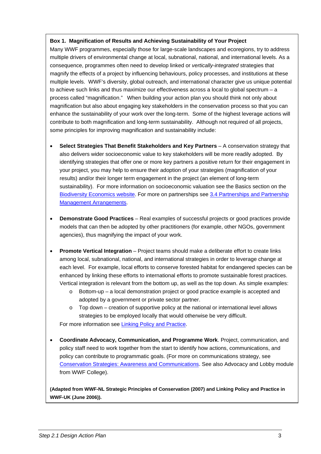#### **Box 1. Magnification of Results and Achieving Sustainability of Your Project**

Many WWF programmes, especially those for large-scale landscapes and ecoregions, try to address multiple drivers of environmental change at local, subnational, national, and international levels. As a consequence, programmes often need to develop linked or *vertically-integrated* strategies that magnify the effects of a project by influencing behaviours, policy processes, and institutions at these multiple levels. WWF's diversity, global outreach, and international character give us unique potential to achieve such links and thus maximize our effectiveness across a local to global spectrum – a process called "magnification." When building your action plan you should think not only about magnification but also about engaging key stakeholders in the conservation process so that you can enhance the sustainability of your work over the long-term. Some of the highest leverage actions will contribute to both magnification and long-term sustainability. Although not required of all projects, some principles for improving magnification and sustainability include:

- **Select Strategies That Benefit Stakeholders and Key Partners** A conservation strategy that also delivers wider socioeconomic value to key stakeholders will be more readily adopted. By identifying strategies that offer one or more key partners a positive return for their engagement in your project, you may help to ensure their adoption of your strategies (magnification of your results) and/or their longer term engagement in the project (an element of long-term sustainability). For more information on socioeconomic valuation see the Basics section on the [Biodiversity Economics website](http://biodiversityeconomics.org/library/basics/index.html). For more on partnerships see [3.4 Partnerships and Partnership](https://intranet.panda.org/documents/folder.cfm?uNC=36478051&uFolderID=60984https://intranet.panda.org/documents/folder.cfm?uNC=36478051&uFolderID=60984)  [Management Arrangements.](https://intranet.panda.org/documents/folder.cfm?uNC=36478051&uFolderID=60984https://intranet.panda.org/documents/folder.cfm?uNC=36478051&uFolderID=60984)
- **Demonstrate Good Practices** Real examples of successful projects or good practices provide models that can then be adopted by other practitioners (for example, other NGOs, government agencies), thus magnifying the impact of your work.
- **Promote Vertical Integration** Project teams should make a deliberate effort to create links among local, subnational, national, and international strategies in order to leverage change at each level. For example, local efforts to conserve forested habitat for endangered species can be enhanced by linking these efforts to international efforts to promote sustainable forest practices. Vertical integration is relevant from the bottom up, as well as the top down. As simple examples:
	- $\circ$  Bottom-up a local demonstration project or good practice example is accepted and adopted by a government or private sector partner.
	- $\circ$  Top down creation of supportive policy at the national or international level allows strategies to be employed locally that would otherwise be very difficult.

For more information see [Linking Policy and Practice.](https://intranet.panda.org/documents/folder.cfm?uFolderID=60978)

• **Coordinate Advocacy, Communication, and Programme Work**. Project, communication, and policy staff need to work together from the start to identify how actions, communications, and policy can contribute to programmatic goals. (For more on communications strategy, see [Conservation Strategies: Awareness and Communications](https://intranet.panda.org/documents/folder.cfm?uFolderID=60978). See also Advocacy and Lobby module from WWF College).

**(Adapted from WWF-NL Strategic Principles of Conservation (2007) and Linking Policy and Practice in WWF-UK (June 2006)).**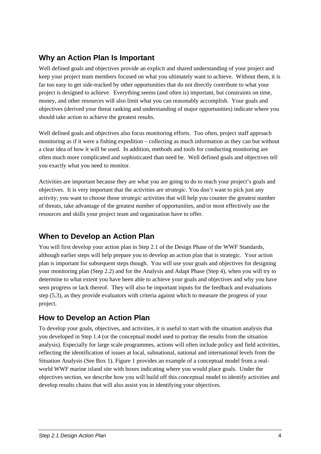## <span id="page-5-0"></span>**Why an Action Plan Is Important**

Well defined goals and objectives provide an explicit and shared understanding of your project and keep your project team members focused on what you ultimately want to achieve. Without them, it is far too easy to get side-tracked by other opportunities that do not directly contribute to what your project is designed to achieve. Everything seems (and often is) important, but constraints on time, money, and other resources will also limit what you can reasonably accomplish. Your goals and objectives (derived your threat ranking and understanding of major opportunities) indicate where you should take action to achieve the greatest results.

Well defined goals and objectives also focus monitoring efforts. Too often, project staff approach monitoring as if it were a fishing expedition – collecting as much information as they can but without a clear idea of how it will be used. In addition, methods and tools for conducting monitoring are often much more complicated and sophisticated than need be. Well defined goals and objectives tell you exactly what you need to monitor.

Activities are important because they are what you are going to do to reach your project's goals and objectives. It is very important that the activities are *strategic*. You don't want to pick just any activity; you want to choose those *strategic* activities that will help you counter the greatest number of threats, take advantage of the greatest number of opportunities, and/or most effectively use the resources and skills your project team and organization have to offer.

### **When to Develop an Action Plan**

You will first develop your action plan in Step 2.1 of the Design Phase of the WWF Standards, although earlier steps will help prepare you to develop an action plan that is strategic. Your action plan is important for subsequent steps though. You will use your goals and objectives for designing your monitoring plan (Step 2.2) and for the Analysis and Adapt Phase (Step 4), when you will try to determine to what extent you have been able to achieve your goals and objectives and why you have seen progress or lack thereof. They will also be important inputs for the feedback and evaluations step (5.3), as they provide evaluators with criteria against which to measure the progress of your project.

## **How to Develop an Action Plan**

To develop your goals, objectives, and activities, it is useful to start with the situation analysis that you developed in Step 1.4 (or the conceptual model used to portray the results from the situation analysis). Especially for large scale programmes, actions will often include policy and field activities, reflecting the identification of issues at local, subnational, national and international levels from the Situation Analysis (See Box 1). [Figure 1](#page-6-1) provides an example of a conceptual model from a realworld WWF marine island site with boxes indicating where you would place goals. Under the objectives section, we describe how you will build off this conceptual model to identify activities and develop results chains that will also assist you in identifying your objectives.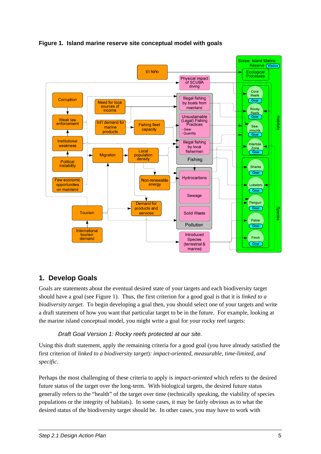<span id="page-6-1"></span><span id="page-6-0"></span>



### **1. Develop Goals**

Goals are statements about the eventual desired state of your targets and each biodiversity target should have a goal (see [Figure 1](#page-6-1)). Thus, the first criterion for a good goal is that it is *linked to a biodiversity target.* To begin developing a goal then, you should select one of your targets and write a draft statement of how you want that particular target to be in the future. For example, looking at the marine island conceptual model, you might write a goal for your rocky reef targets:

#### *Draft Goal Version 1: Rocky reefs protected at our site.*

Using this draft statement, apply the remaining criteria for a good goal (you have already satisfied the first criterion of *linked to a biodiversity target*)*: impact-oriented, measurable, time-limited, and specific*.

Perhaps the most challenging of these criteria to apply is *impact-oriented* which refers to the desired future status of the target over the long-term. With biological targets, the desired future status generally refers to the "health" of the target over time (technically speaking, the viability of species populations or the integrity of habitats). In some cases, it may be fairly obvious as to what the desired status of the biodiversity target should be. In other cases, you may have to work with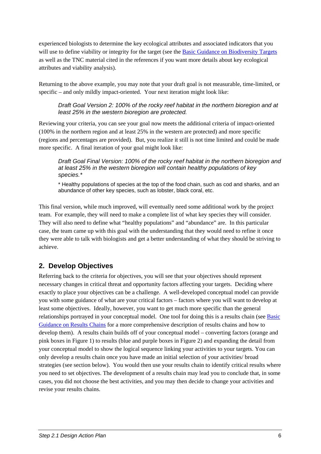<span id="page-7-0"></span>experienced biologists to determine the key ecological attributes and associated indicators that you will use to define viability or integrity for the target (see the [Basic Guidance on Biodiversity Targets](https://intranet.panda.org/documents/folder.cfm?uFolderID=60976) as well as the TNC material cited in the references if you want more details about key ecological attributes and viability analysis).

Returning to the above example, you may note that your draft goal is not measurable, time-limited, or specific – and only mildly impact-oriented. Your next iteration might look like:

#### *Draft Goal Version 2: 100% of the rocky reef habitat in the northern bioregion and at least 25% in the western bioregion are protected.*

Reviewing your criteria, you can see your goal now meets the additional criteria of impact-oriented (100% in the northern region and at least 25% in the western are protected) and more specific (regions and percentages are provided). But, you realize it still is not time limited and could be made more specific. A final iteration of your goal might look like:

*Draft Goal Final Version: 100% of the rocky reef habitat in the northern bioregion and at least 25% in the western bioregion will contain healthy populations of key species.\** 

\* Healthy populations of species at the top of the food chain, such as cod and sharks, and an abundance of other key species, such as lobster, black coral, etc.

This final version, while much improved, will eventually need some additional work by the project team. For example, they will need to make a complete list of what key species they will consider. They will also need to define what "healthy populations" and "abundance" are. In this particular case, the team came up with this goal with the understanding that they would need to refine it once they were able to talk with biologists and get a better understanding of what they should be striving to achieve.

## **2. Develop Objectives**

Referring back to the criteria for objectives, you will see that your objectives should represent necessary changes in critical threat and opportunity factors affecting your targets. Deciding where exactly to place your objectives can be a challenge. A well-developed conceptual model can provide you with some guidance of what are your critical factors – factors where you will want to develop at least some objectives. Ideally, however, you want to get much more specific than the general relationships portrayed in your conceptual model. One tool for doing this is a results chain (see [Basic](https://intranet.panda.org/documents/folder.cfm?uFolderID=60978)  [Guidance on Results Chains](https://intranet.panda.org/documents/folder.cfm?uFolderID=60978) for a more comprehensive description of results chains and how to develop them). A results chain builds off of your conceptual model – converting factors (orange and pink boxes in [Figure 1](#page-6-1)) to results (blue and purple boxes in [Figure 2\)](#page-8-0) and expanding the detail from your conceptual model to show the logical sequence linking your activities to your targets. You can only develop a results chain once you have made an initial selection of your activities/ broad strategies (see section below). You would then use your results chain to identify critical results where you need to set objectives. The development of a results chain may lead you to conclude that, in some cases, you did not choose the best activities, and you may then decide to change your activities and revise your results chains.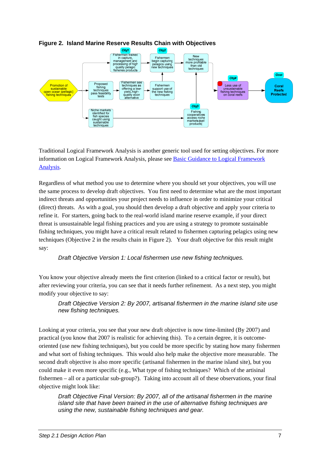<span id="page-8-0"></span>

#### **Figure 2. Island Marine Reserve Results Chain with Objectives**

Traditional Logical Framework Analysis is another generic tool used for setting objectives. For more information on Logical Framework Analysis, please see [Basic Guidance to Logical Framework](https://intranet.panda.org/documents/folder.cfm?uFolderID=60995)  [Analysis.](https://intranet.panda.org/documents/folder.cfm?uFolderID=60995)

Regardless of what method you use to determine where you should set your objectives, you will use the same process to develop draft objectives. You first need to determine what are the most important indirect threats and opportunities your project needs to influence in order to minimize your critical (direct) threats. As with a goal, you should then develop a draft objective and apply your criteria to refine it. For starters, going back to the real-world island marine reserve example, if your direct threat is unsustainable legal fishing practices and you are using a strategy to promote sustainable fishing techniques, you might have a critical result related to fishermen capturing pelagics using new techniques (Objective 2 in the results chain in [Figure 2](#page-8-0)). Your draft objective for this result might say:

#### *Draft Objective Version 1: Local fishermen use new fishing techniques.*

You know your objective already meets the first criterion (linked to a critical factor or result), but after reviewing your criteria, you can see that it needs further refinement. As a next step, you might modify your objective to say:

*Draft Objective Version 2: By 2007, artisanal fishermen in the marine island site use new fishing techniques.* 

Looking at your criteria, you see that your new draft objective is now time-limited (By 2007) and practical (you know that 2007 is realistic for achieving this). To a certain degree, it is outcomeoriented (use new fishing techniques), but you could be more specific by stating how many fishermen and what sort of fishing techniques. This would also help make the objective more measurable. The second draft objective is also more specific (artisanal fishermen in the marine island site), but you could make it even more specific (e.g., What type of fishing techniques? Which of the artisinal fishermen – all or a particular sub-group?). Taking into account all of these observations, your final objective might look like:

*Draft Objective Final Version: By 2007, all of the artisanal fishermen in the marine island site that have been trained in the use of alternative fishing techniques are using the new, sustainable fishing techniques and gear.*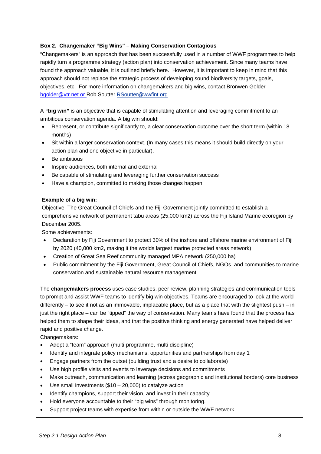#### **Box 2. Changemaker "Big Wins" – Making Conservation Contagious**

"Changemakers" is an approach that has been successfully used in a number of WWF programmes to help rapidly turn a programme strategy (action plan) into conservation achievement. Since many teams have found the approach valuable, it is outlined briefly here. However, it is important to keep in mind that this approach should not replace the strategic process of developing sound biodiversity targets, goals, objectives, etc. For more information on changemakers and big wins, contact Bronwen Golder [bgolder@vtr.net](mailto:bgolder@vtr.net) or Rob Soutter [RSoutter@wwfint.org](mailto:RSoutter@wwfint.org)

A **"big win"** is an objective that is capable of stimulating attention and leveraging commitment to an ambitious conservation agenda. A big win should:

- Represent, or contribute significantly to, a clear conservation outcome over the short term (within 18 months)
- Sit within a larger conservation context. (In many cases this means it should build directly on your action plan and one objective in particular).
- Be ambitious
- Inspire audiences, both internal and external
- Be capable of stimulating and leveraging further conservation success
- Have a champion, committed to making those changes happen

#### **Example of a big win:**

Objective: The Great Council of Chiefs and the Fiji Government jointly committed to establish a comprehensive network of permanent tabu areas (25,000 km2) across the Fiji Island Marine ecoregion by December 2005.

Some achievements:

- Declaration by Fiji Government to protect 30% of the inshore and offshore marine environment of Fiji by 2020 (40,000 km2, making it the worlds largest marine protected areas network)
- Creation of Great Sea Reef community managed MPA network (250,000 ha)
- Public commitment by the Fiji Government, Great Council of Chiefs, NGOs, and communities to marine conservation and sustainable natural resource management

The **changemakers process** uses case studies, peer review, planning strategies and communication tools to prompt and assist WWF teams to identify big win objectives. Teams are encouraged to look at the world differently – to see it not as an immovable, implacable place, but as a place that with the slightest push – in just the right place – can be "tipped" the way of conservation. Many teams have found that the process has helped them to shape their ideas, and that the positive thinking and energy generated have helped deliver rapid and positive change.

Changemakers:

- Adopt a "team" approach (multi-programme, multi-discipline)
- Identify and integrate policy mechanisms, opportunities and partnerships from day 1
- Engage partners from the outset (building trust and a desire to collaborate)
- Use high profile visits and events to leverage decisions and commitments
- Make outreach, communication and learning (across geographic and institutional borders) core business
- Use small investments  $(\$10 20,000)$  to catalyze action
- Identify champions, support their vision, and invest in their capacity.
- Hold everyone accountable to their "big wins" through monitoring.
- Support project teams with expertise from within or outside the WWF network.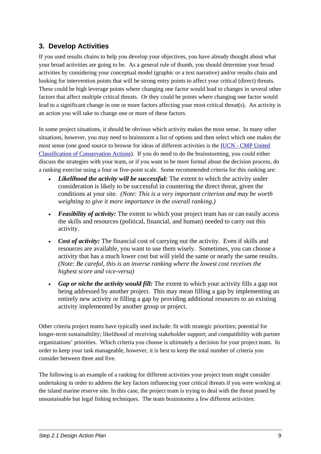## <span id="page-10-0"></span>**3. Develop Activities**

If you used results chains to help you develop your objectives, you have already thought about what your broad activities are going to be. As a general rule of thumb, you should determine your broad activities by considering your conceptual model (graphic or a text narrative) and/or results chain and looking for intervention points that will be strong entry points to affect your critical (direct) threats. These could be high leverage points where changing one factor would lead to changes in several other factors that affect multiple critical threats. Or they could be points where changing one factor would lead to a significant change in one or more factors affecting your most critical threat(s). An activity is an action you will take to change one or more of these factors.

In some project situations, it should be obvious which activity makes the most sense. In many other situations, however, you may need to brainstorm a list of options and then select which one makes the most sense (one good source to browse for ideas of different activities is the [IUCN - CMP United](http://conservationmeasures.org/CMP/Site_Docs/IUCN-CMP_Unified_Actions_Classification_2006_06_01.pdf)  [Classification of Conservation Actions\)](http://conservationmeasures.org/CMP/Site_Docs/IUCN-CMP_Unified_Actions_Classification_2006_06_01.pdf). If you do need to do the brainstorming, you could either discuss the strategies with your team, or if you want to be more formal about the decision process, do a ranking exercise using a four or five-point scale. Some recommended criteria for this ranking are:

- *Likelihood the activity will be successful:* The extent to which the activity under consideration is likely to be successful in countering the direct threat, given the conditions at your site. *(Note: This is a very important criterion and may be worth weighting to give it more importance in the overall ranking.)*
- *Feasibility of activity:* The extent to which your project team has or can easily access the skills and resources (political, financial, and human) needed to carry out this activity.
- *Cost of activity:* The financial cost of carrying out the activity. Even if skills and resources are available, you want to use them wisely. Sometimes, you can choose a activity that has a much lower cost but will yield the same or nearly the same results. *(Note: Be careful, this is an inverse ranking where the lowest cost receives the highest score and vice-versa)*
- *Gap or niche the activity would fill:* The extent to which your activity fills a gap not being addressed by another project. This may mean filling a gap by implementing an entirely new activity or filling a gap by providing additional resources to an existing activity implemented by another group or project.

Other criteria project teams have typically used include: fit with strategic priorities; potential for longer-term sustainability; likelihood of receiving stakeholder support; and compatibility with partner organizations' priorities. Which criteria you choose is ultimately a decision for your project team. In order to keep your task manageable, however, it is best to keep the total number of criteria you consider between three and five.

The following is an example of a ranking for different activities your project team might consider undertaking in order to address the key factors influencing your critical threats if you were working at the island marine reserve site. In this case, the project team is trying to deal with the threat posed by unsustainable but legal fishing techniques. The team brainstorms a few different activities: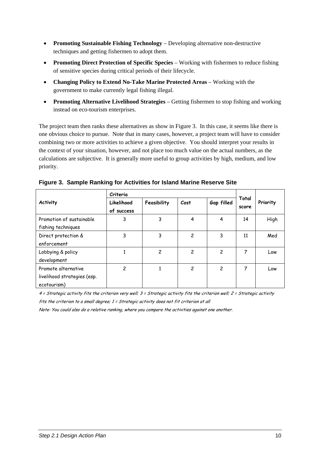- **Promoting Sustainable Fishing Technology** Developing alternative non-destructive techniques and getting fishermen to adopt them.
- **Promoting Direct Protection of Specific Species** Working with fishermen to reduce fishing of sensitive species during critical periods of their lifecycle.
- **Changing Policy to Extend No-Take Marine Protected Areas** Working with the government to make currently legal fishing illegal.
- **Promoting Alternative Livelihood Strategies** Getting fishermen to stop fishing and working instead on eco-tourism enterprises.

The project team then ranks these alternatives as show in Figure 3. In this case, it seems like there is one obvious choice to pursue. Note that in many cases, however, a project team will have to consider combining two or more activities to achieve a given objective. You should interpret your results in the context of your situation, however, and not place too much value on the actual numbers, as the calculations are subjective. It is generally more useful to group activities by high, medium, and low priority.

|                                                                   | Criteria                 |                |                |                |                |          |  |
|-------------------------------------------------------------------|--------------------------|----------------|----------------|----------------|----------------|----------|--|
| <b>Activity</b>                                                   | Likelihood<br>of success | Feasibility    | Cost           | Gap filled     | Total<br>score | Priority |  |
| Promotion of sustainable<br>fishing techniques                    | 3                        | 3              | 4              | 4              | 14             | High     |  |
| Direct protection &<br>enforcement                                | 3                        | 3              | $\overline{c}$ | 3              | 11             | Med      |  |
| Lobbying & policy<br>development                                  | 1                        | $\overline{c}$ | $\overline{c}$ | $\overline{c}$ | 7              | Low      |  |
| Promote alternative<br>livelihood strategies (esp.<br>ecotourism) | 2                        |                | 2              | $\overline{c}$ | 7              | Low      |  |

| Figure 3. Sample Ranking for Activities for Island Marine Reserve Site |  |  |  |
|------------------------------------------------------------------------|--|--|--|

4 = Strategic activity fits the criterion very well; 3 = Strategic activity fits the criterion well; 2 = Strategic activity fits the criterion to a small degree; 1 = Strategic activity does not fit criterion at all

Note: You could also do a relative ranking, where you compare the activities against one another.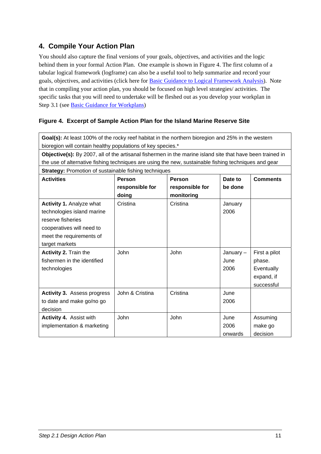## <span id="page-12-0"></span>**4. Compile Your Action Plan**

You should also capture the final versions of your goals, objectives, and activities and the logic behind them in your formal Action Plan. One example is shown in Figure 4. The first column of a tabular logical framework (logframe) can also be a useful tool to help summarize and record your goals, objectives, and activities (click here for [Basic Guidance to Logical Framework Analysis\)](https://intranet.panda.org/documents/folder.cfm?uFolderID=60995). Note that in compiling your action plan, you should be focused on high level strategies/ activities. The specific tasks that you will need to undertake will be fleshed out as you develop your workplan in Step 3.1 (see [Basic Guidance for Workplans](https://intranet.panda.org/documents/folder.cfm?uFolderID=60981))

#### **Figure 4. Excerpt of Sample Action Plan for the Island Marine Reserve Site**

| Goal(s): At least 100% of the rocky reef habitat in the northern bioregion and 25% in the western         |                                                       |                 |          |               |  |
|-----------------------------------------------------------------------------------------------------------|-------------------------------------------------------|-----------------|----------|---------------|--|
| bioregion will contain healthy populations of key species.*                                               |                                                       |                 |          |               |  |
| Objective(s): By 2007, all of the artisanal fishermen in the marine island site that have been trained in |                                                       |                 |          |               |  |
| the use of alternative fishing techniques are using the new, sustainable fishing techniques and gear      |                                                       |                 |          |               |  |
| <b>Strategy: Promotion of sustainable fishing techniques</b>                                              |                                                       |                 |          |               |  |
| <b>Activities</b>                                                                                         | <b>Person</b><br>Person<br>Date to<br><b>Comments</b> |                 |          |               |  |
|                                                                                                           | responsible for                                       | responsible for | be done  |               |  |
|                                                                                                           | doing                                                 | monitoring      |          |               |  |
| <b>Activity 1. Analyze what</b>                                                                           | Cristina                                              | Cristina        | January  |               |  |
| technologies island marine                                                                                |                                                       |                 | 2006     |               |  |
| reserve fisheries                                                                                         |                                                       |                 |          |               |  |
| cooperatives will need to                                                                                 |                                                       |                 |          |               |  |
| meet the requirements of                                                                                  |                                                       |                 |          |               |  |
| target markets                                                                                            |                                                       |                 |          |               |  |
| Activity 2. Train the                                                                                     | John                                                  | John            | January- | First a pilot |  |
| fishermen in the identified                                                                               |                                                       |                 | June     | phase.        |  |
| technologies                                                                                              |                                                       |                 | 2006     | Eventually    |  |
|                                                                                                           |                                                       |                 |          | expand, if    |  |
|                                                                                                           |                                                       |                 |          | successful    |  |
| <b>Activity 3. Assess progress</b>                                                                        | John & Cristina                                       | Cristina        | June     |               |  |
| to date and make go/no go                                                                                 |                                                       |                 | 2006     |               |  |
| decision                                                                                                  |                                                       |                 |          |               |  |
| Activity 4. Assist with                                                                                   | John                                                  | John            | June     | Assuming      |  |
| implementation & marketing                                                                                |                                                       |                 | 2006     | make go       |  |
|                                                                                                           |                                                       |                 | onwards  | decision      |  |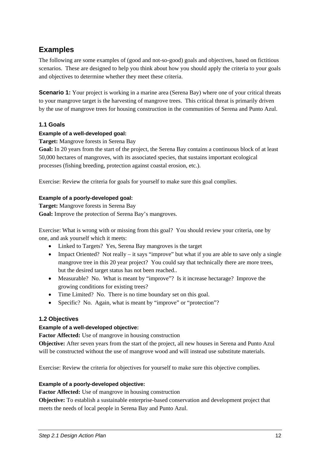## <span id="page-13-0"></span>**Examples**

The following are some examples of (good and not-so-good) goals and objectives, based on fictitious scenarios. These are designed to help you think about how you should apply the criteria to your goals and objectives to determine whether they meet these criteria.

**Scenario 1:** Your project is working in a marine area (Serena Bay) where one of your critical threats to your mangrove target is the harvesting of mangrove trees. This critical threat is primarily driven by the use of mangrove trees for housing construction in the communities of Serena and Punto Azul.

#### **1.1 Goals**

#### **Example of a well-developed goal:**

**Target:** Mangrove forests in Serena Bay

**Goal:** In 20 years from the start of the project, the Serena Bay contains a continuous block of at least 50,000 hectares of mangroves, with its associated species, that sustains important ecological processes (fishing breeding, protection against coastal erosion, etc.).

Exercise: Review the criteria for goals for yourself to make sure this goal complies.

#### **Example of a poorly-developed goal:**

**Target:** Mangrove forests in Serena Bay **Goal:** Improve the protection of Serena Bay's mangroves.

Exercise: What is wrong with or missing from this goal? You should review your criteria, one by one, and ask yourself which it meets:

- Linked to Targets? Yes, Serena Bay mangroves is the target
- Impact Oriented? Not really it says "improve" but what if you are able to save only a single mangrove tree in this 20 year project? You could say that technically there are more trees, but the desired target status has not been reached..
- Measurable? No. What is meant by "improve"? Is it increase hectarage? Improve the growing conditions for existing trees?
- Time Limited? No. There is no time boundary set on this goal.
- Specific? No. Again, what is meant by "improve" or "protection"?

#### **1.2 Objectives**

#### **Example of a well-developed objective:**

**Factor Affected:** Use of mangrove in housing construction

**Objective:** After seven years from the start of the project, all new houses in Serena and Punto Azul will be constructed without the use of mangrove wood and will instead use substitute materials.

Exercise: Review the criteria for objectives for yourself to make sure this objective complies.

#### **Example of a poorly-developed objective:**

**Factor Affected:** Use of mangrove in housing construction

**Objective:** To establish a sustainable enterprise-based conservation and development project that meets the needs of local people in Serena Bay and Punto Azul.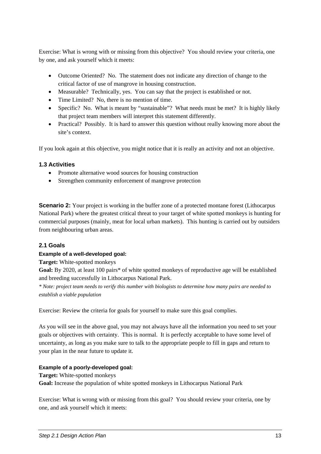Exercise: What is wrong with or missing from this objective? You should review your criteria, one by one, and ask yourself which it meets:

- Outcome Oriented? No. The statement does not indicate any direction of change to the critical factor of use of mangrove in housing construction.
- Measurable? Technically, yes. You can say that the project is established or not.
- Time Limited? No, there is no mention of time.
- Specific? No. What is meant by "sustainable"? What needs must be met? It is highly likely that project team members will interpret this statement differently.
- Practical? Possibly. It is hard to answer this question without really knowing more about the site's context.

If you look again at this objective, you might notice that it is really an activity and not an objective.

#### **1.3 Activities**

- Promote alternative wood sources for housing construction
- Strengthen community enforcement of mangrove protection

**Scenario 2:** Your project is working in the buffer zone of a protected montane forest (Lithocarpus National Park) where the greatest critical threat to your target of white spotted monkeys is hunting for commercial purposes (mainly, meat for local urban markets). This hunting is carried out by outsiders from neighbouring urban areas.

#### **2.1 Goals**

#### **Example of a well-developed goal:**

**Target:** White-spotted monkeys

**Goal:** By 2020, at least 100 pairs\* of white spotted monkeys of reproductive age will be established and breeding successfully in Lithocarpus National Park.

*\* Note: project team needs to verify this number with biologists to determine how many pairs are needed to establish a viable population* 

Exercise: Review the criteria for goals for yourself to make sure this goal complies.

As you will see in the above goal, you may not always have all the information you need to set your goals or objectives with certainty. This is normal. It is perfectly acceptable to have some level of uncertainty, as long as you make sure to talk to the appropriate people to fill in gaps and return to your plan in the near future to update it.

#### **Example of a poorly-developed goal:**

**Target:** White-spotted monkeys **Goal:** Increase the population of white spotted monkeys in Lithocarpus National Park

Exercise: What is wrong with or missing from this goal? You should review your criteria, one by one, and ask yourself which it meets: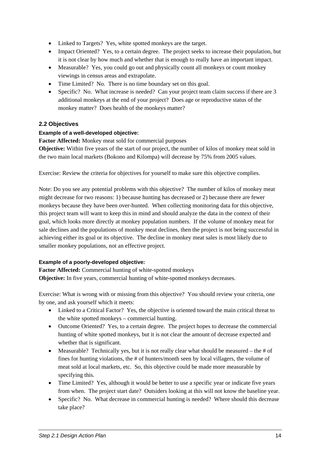- Linked to Targets? Yes, white spotted monkeys are the target.
- Impact Oriented? Yes, to a certain degree. The project seeks to increase their population, but it is not clear by how much and whether that is enough to really have an important impact.
- Measurable? Yes, you could go out and physically count all monkeys or count monkey viewings in census areas and extrapolate.
- Time Limited? No. There is no time boundary set on this goal.
- Specific? No. What increase is needed? Can your project team claim success if there are 3 additional monkeys at the end of your project? Does age or reproductive status of the monkey matter? Does health of the monkeys matter?

#### **2.2 Objectives**

#### **Example of a well-developed objective:**

**Factor Affected:** Monkey meat sold for commercial purposes

**Objective:** Within five years of the start of our project, the number of kilos of monkey meat sold in the two main local markets (Bokono and Kilompa) will decrease by 75% from 2005 values.

Exercise: Review the criteria for objectives for yourself to make sure this objective complies.

Note: Do you see any potential problems with this objective? The number of kilos of monkey meat might decrease for two reasons: 1) because hunting has decreased or 2) because there are fewer monkeys because they have been over-hunted. When collecting monitoring data for this objective, this project team will want to keep this in mind and should analyze the data in the context of their goal, which looks more directly at monkey population numbers. If the volume of monkey meat for sale declines and the populations of monkey meat declines, then the project is not being successful in achieving either its goal or its objective. The decline in monkey meat sales is most likely due to smaller monkey populations, not an effective project.

#### **Example of a poorly-developed objective:**

**Factor Affected:** Commercial hunting of white-spotted monkeys **Objective:** In five years, commercial hunting of white-spotted monkeys decreases.

Exercise: What is wrong with or missing from this objective? You should review your criteria, one by one, and ask yourself which it meets:

- Linked to a Critical Factor? Yes, the objective is oriented toward the main critical threat to the white spotted monkeys – commercial hunting.
- Outcome Oriented? Yes, to a certain degree. The project hopes to decrease the commercial hunting of white spotted monkeys, but it is not clear the amount of decrease expected and whether that is significant.
- Measurable? Technically yes, but it is not really clear what should be measured the  $#$  of fines for hunting violations, the # of hunters/month seen by local villagers, the volume of meat sold at local markets, etc. So, this objective could be made more measurable by specifying this.
- Time Limited? Yes, although it would be better to use a specific year or indicate five years from when. The project start date? Outsiders looking at this will not know the baseline year.
- Specific? No. What decrease in commercial hunting is needed? Where should this decrease take place?